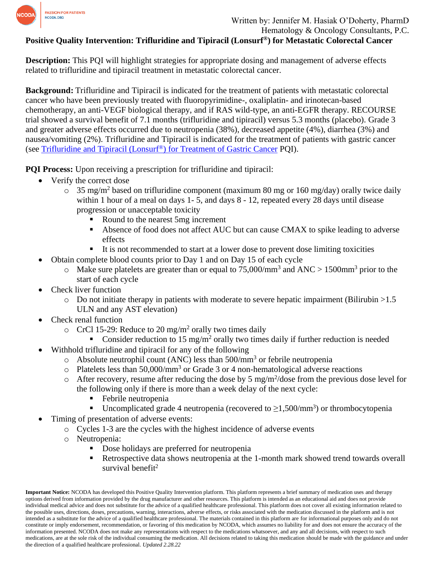

## **Positive Quality Intervention: Trifluridine and Tipiracil (Lonsurf®) for Metastatic Colorectal Cancer**

**Description:** This PQI will highlight strategies for appropriate dosing and management of adverse effects related to trifluridine and tipiracil treatment in metastatic colorectal cancer.

**Background:** Trifluridine and Tipiracil is indicated for the treatment of patients with metastatic colorectal cancer who have been previously treated with fluoropyrimidine-, oxaliplatin- and irinotecan-based chemotherapy, an anti-VEGF biological therapy, and if RAS wild-type, an anti-EGFR therapy. RECOURSE trial showed a survival benefit of 7.1 months (trifluridine and tipiracil) versus 5.3 months (placebo). Grade 3 and greater adverse effects occurred due to neutropenia (38%), decreased appetite (4%), diarrhea (3%) and nausea/vomiting (2%). Trifluridine and Tipiracil is indicated for the treatment of patients with gastric cancer (see [Trifluridine and Tipiracil \(Lonsurf](https://www.ncoda.org/wp-content/uploads/pqis/Trifluridine-and-Tipiracil-Lonsurf-for-Treatment-of-Gastric-Cancer_PQI_NCODA.pdf)®) for Treatment of Gastric Cancer PQI).

**PQI Process:** Upon receiving a prescription for trifluridine and tipiracil:

- Verify the correct dose
	- $\circ$  35 mg/m<sup>2</sup> based on trifluridine component (maximum 80 mg or 160 mg/day) orally twice daily within 1 hour of a meal on days 1-5, and days 8 - 12, repeated every 28 days until disease progression or unacceptable toxicity
		- Round to the nearest 5mg increment
		- Absence of food does not affect AUC but can cause CMAX to spike leading to adverse effects
		- It is not recommended to start at a lower dose to prevent dose limiting toxicities
- Obtain complete blood counts prior to Day 1 and on Day 15 of each cycle
	- $\circ$  Make sure platelets are greater than or equal to 75,000/mm<sup>3</sup> and ANC > 1500mm<sup>3</sup> prior to the start of each cycle
- Check liver function
	- $\circ$  Do not initiate therapy in patients with moderate to severe hepatic impairment (Bilirubin  $>1.5$ ) ULN and any AST elevation)
- Check renal function
	- $\circ$  CrCl 15-29: Reduce to 20 mg/m<sup>2</sup> orally two times daily
		- Consider reduction to 15 mg/m<sup>2</sup> orally two times daily if further reduction is needed
- Withhold trifluridine and tipiracil for any of the following
	- o Absolute neutrophil count (ANC) less than  $500/\text{mm}^3$  or febrile neutropenia
	- $\circ$  Platelets less than 50,000/mm<sup>3</sup> or Grade 3 or 4 non-hematological adverse reactions
	- $\circ$  After recovery, resume after reducing the dose by 5 mg/m<sup>2</sup>/dose from the previous dose level for the following only if there is more than a week delay of the next cycle:
		- Febrile neutropenia
		- **■** Uncomplicated grade 4 neutropenia (recovered to  $\geq$ 1,500/mm<sup>3</sup>) or thrombocytopenia
	- Timing of presentation of adverse events:
		- o Cycles 1-3 are the cycles with the highest incidence of adverse events
		- o Neutropenia:
			- Dose holidays are preferred for neutropenia
			- Retrospective data shows neutropenia at the 1-month mark showed trend towards overall survival benefit<sup>2</sup>

**Important Notice:** NCODA has developed this Positive Quality Intervention platform. This platform represents a brief summary of medication uses and therapy options derived from information provided by the drug manufacturer and other resources. This platform is intended as an educational aid and does not provide individual medical advice and does not substitute for the advice of a qualified healthcare professional. This platform does not cover all existing information related to the possible uses, directions, doses, precautions, warning, interactions, adverse effects, or risks associated with the medication discussed in the platform and is not intended as a substitute for the advice of a qualified healthcare professional. The materials contained in this platform are for informational purposes only and do not constitute or imply endorsement, recommendation, or favoring of this medication by NCODA, which assumes no liability for and does not ensure the accuracy of the information presented. NCODA does not make any representations with respect to the medications whatsoever, and any and all decisions, with respect to such medications, are at the sole risk of the individual consuming the medication. All decisions related to taking this medication should be made with the guidance and under the direction of a qualified healthcare professional. *Updated 2.28.22*